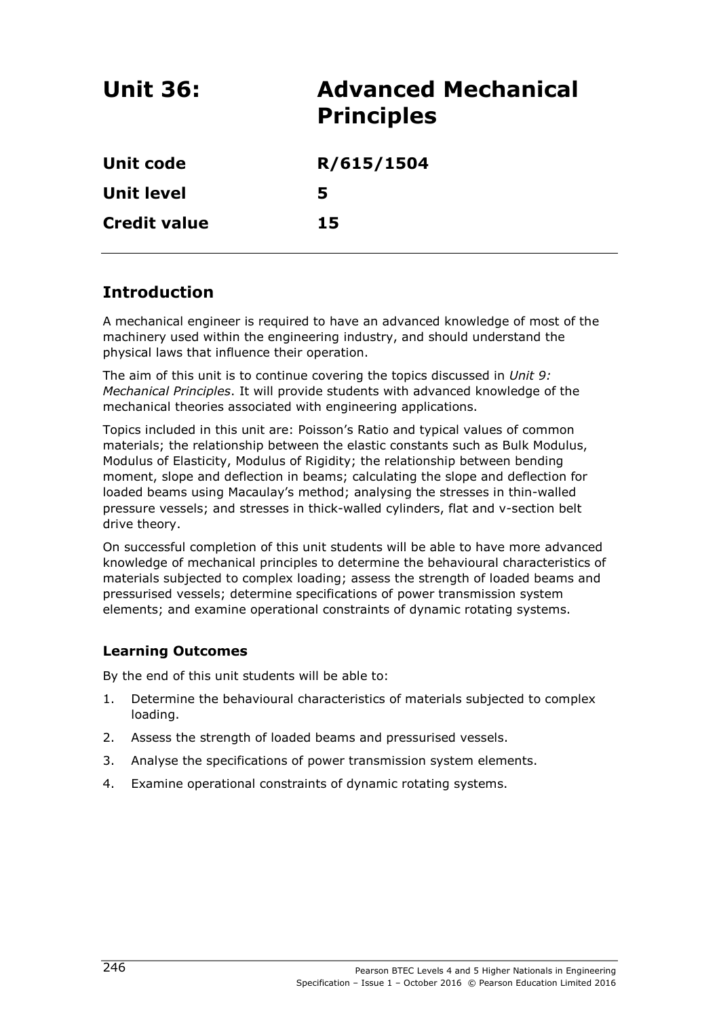| <b>Unit 36:</b>     | <b>Advanced Mechanical</b><br><b>Principles</b> |
|---------------------|-------------------------------------------------|
| <b>Unit code</b>    | R/615/1504                                      |
| <b>Unit level</b>   | 5                                               |
| <b>Credit value</b> | 15                                              |

# **Introduction**

A mechanical engineer is required to have an advanced knowledge of most of the machinery used within the engineering industry, and should understand the physical laws that influence their operation.

The aim of this unit is to continue covering the topics discussed in *Unit 9: Mechanical Principles*. It will provide students with advanced knowledge of the mechanical theories associated with engineering applications.

Topics included in this unit are: Poisson's Ratio and typical values of common materials; the relationship between the elastic constants such as Bulk Modulus, Modulus of Elasticity, Modulus of Rigidity; the relationship between bending moment, slope and deflection in beams; calculating the slope and deflection for loaded beams using Macaulay's method; analysing the stresses in thin-walled pressure vessels; and stresses in thick-walled cylinders, flat and v-section belt drive theory.

On successful completion of this unit students will be able to have more advanced knowledge of mechanical principles to determine the behavioural characteristics of materials subjected to complex loading; assess the strength of loaded beams and pressurised vessels; determine specifications of power transmission system elements; and examine operational constraints of dynamic rotating systems.

## **Learning Outcomes**

By the end of this unit students will be able to:

- 1. Determine the behavioural characteristics of materials subjected to complex loading.
- 2. Assess the strength of loaded beams and pressurised vessels.
- 3. Analyse the specifications of power transmission system elements.
- 4. Examine operational constraints of dynamic rotating systems.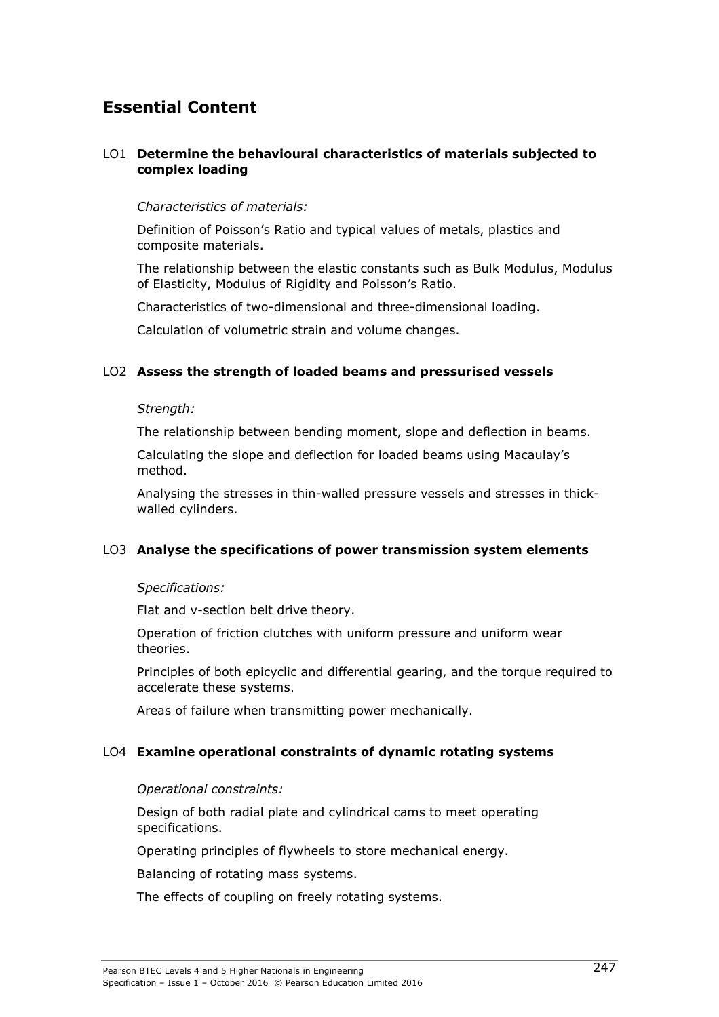# **Essential Content**

#### LO1 **Determine the behavioural characteristics of materials subjected to complex loading**

#### *Characteristics of materials:*

Definition of Poisson's Ratio and typical values of metals, plastics and composite materials.

The relationship between the elastic constants such as Bulk Modulus, Modulus of Elasticity, Modulus of Rigidity and Poisson's Ratio.

Characteristics of two-dimensional and three-dimensional loading.

Calculation of volumetric strain and volume changes.

#### LO2 **Assess the strength of loaded beams and pressurised vessels**

#### *Strength:*

The relationship between bending moment, slope and deflection in beams.

Calculating the slope and deflection for loaded beams using Macaulay's method.

Analysing the stresses in thin-walled pressure vessels and stresses in thickwalled cylinders.

#### LO3 **Analyse the specifications of power transmission system elements**

#### *Specifications:*

Flat and v-section belt drive theory.

Operation of friction clutches with uniform pressure and uniform wear theories.

Principles of both epicyclic and differential gearing, and the torque required to accelerate these systems.

Areas of failure when transmitting power mechanically.

#### LO4 **Examine operational constraints of dynamic rotating systems**

#### *Operational constraints:*

Design of both radial plate and cylindrical cams to meet operating specifications.

Operating principles of flywheels to store mechanical energy.

Balancing of rotating mass systems.

The effects of coupling on freely rotating systems.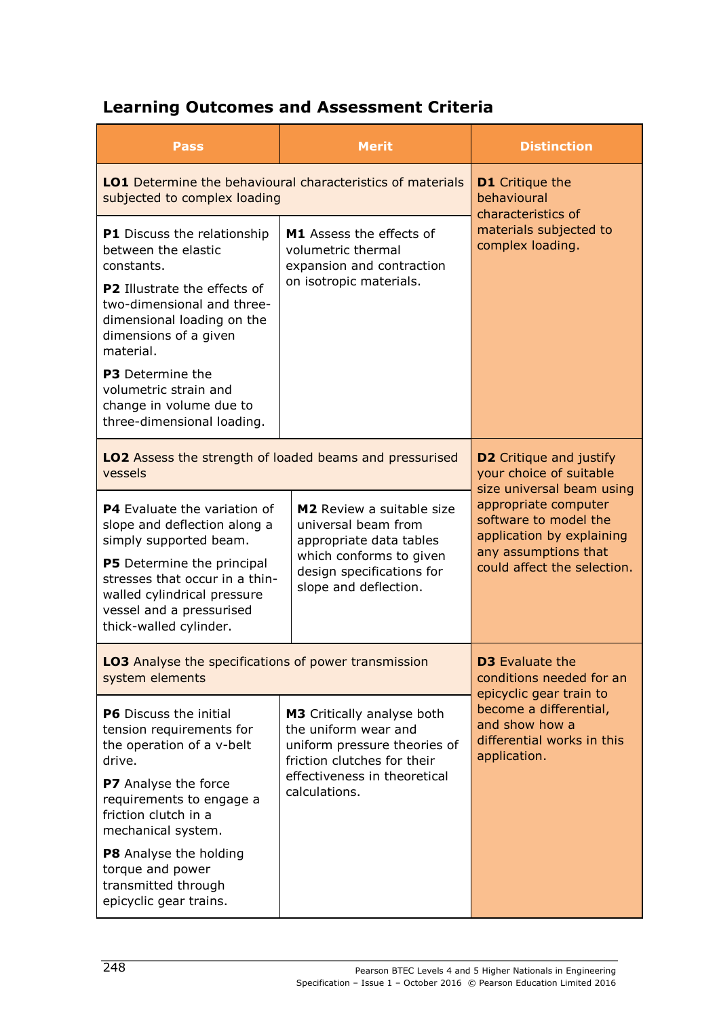# **Learning Outcomes and Assessment Criteria**

| <b>Pass</b>                                                                                                                                       | <b>Merit</b>                                                                                                      | <b>Distinction</b>                                                                                                              |
|---------------------------------------------------------------------------------------------------------------------------------------------------|-------------------------------------------------------------------------------------------------------------------|---------------------------------------------------------------------------------------------------------------------------------|
| <b>LO1</b> Determine the behavioural characteristics of materials<br>subjected to complex loading                                                 |                                                                                                                   | <b>D1</b> Critique the<br>behavioural<br>characteristics of                                                                     |
| P1 Discuss the relationship<br>between the elastic<br>constants.                                                                                  | M1 Assess the effects of<br>volumetric thermal<br>expansion and contraction                                       | materials subjected to<br>complex loading.                                                                                      |
| P2 Illustrate the effects of<br>two-dimensional and three-<br>dimensional loading on the<br>dimensions of a given<br>material.                    | on isotropic materials.                                                                                           |                                                                                                                                 |
| <b>P3</b> Determine the<br>volumetric strain and<br>change in volume due to<br>three-dimensional loading.                                         |                                                                                                                   |                                                                                                                                 |
| <b>LO2</b> Assess the strength of loaded beams and pressurised<br>vessels                                                                         |                                                                                                                   | <b>D2</b> Critique and justify<br>your choice of suitable                                                                       |
| P4 Evaluate the variation of<br>slope and deflection along a<br>simply supported beam.                                                            | M2 Review a suitable size<br>universal beam from<br>appropriate data tables<br>which conforms to given            | size universal beam using<br>appropriate computer<br>software to model the<br>application by explaining<br>any assumptions that |
| P5 Determine the principal<br>stresses that occur in a thin-<br>walled cylindrical pressure<br>vessel and a pressurised<br>thick-walled cylinder. | design specifications for<br>slope and deflection.                                                                | could affect the selection.                                                                                                     |
| <b>LO3</b> Analyse the specifications of power transmission<br>system elements                                                                    |                                                                                                                   | <b>D3</b> Evaluate the<br>conditions needed for an<br>epicyclic gear train to                                                   |
| <b>P6</b> Discuss the initial<br>tension requirements for<br>the operation of a v-belt<br>drive.                                                  | M3 Critically analyse both<br>the uniform wear and<br>uniform pressure theories of<br>friction clutches for their | become a differential,<br>and show how a<br>differential works in this<br>application.                                          |
| P7 Analyse the force<br>requirements to engage a<br>friction clutch in a<br>mechanical system.                                                    | effectiveness in theoretical<br>calculations.                                                                     |                                                                                                                                 |
| P8 Analyse the holding<br>torque and power<br>transmitted through<br>epicyclic gear trains.                                                       |                                                                                                                   |                                                                                                                                 |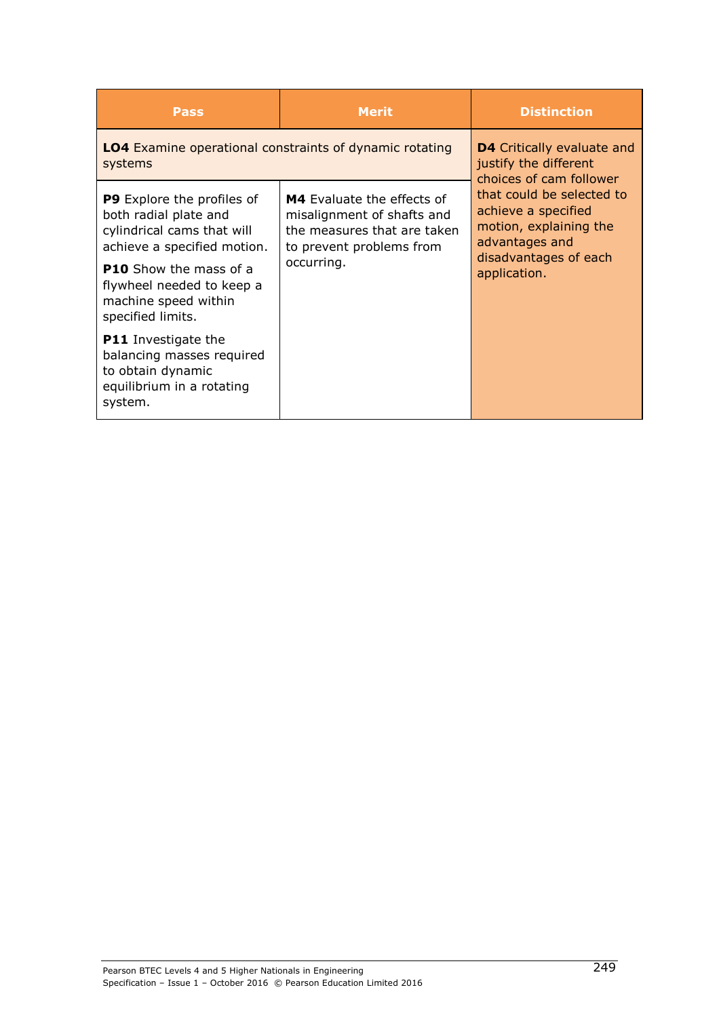| <b>Pass</b>                                                                                                                                                                                                                        | <b>Merit</b>                                                                                                                             | <b>Distinction</b>                                                                                                                    |
|------------------------------------------------------------------------------------------------------------------------------------------------------------------------------------------------------------------------------------|------------------------------------------------------------------------------------------------------------------------------------------|---------------------------------------------------------------------------------------------------------------------------------------|
| <b>LO4</b> Examine operational constraints of dynamic rotating<br>systems                                                                                                                                                          |                                                                                                                                          | <b>D4</b> Critically evaluate and<br>justify the different<br>choices of cam follower                                                 |
| <b>P9</b> Explore the profiles of<br>both radial plate and<br>cylindrical cams that will<br>achieve a specified motion.<br><b>P10</b> Show the mass of a<br>flywheel needed to keep a<br>machine speed within<br>specified limits. | <b>M4</b> Evaluate the effects of<br>misalignment of shafts and<br>the measures that are taken<br>to prevent problems from<br>occurring. | that could be selected to<br>achieve a specified<br>motion, explaining the<br>advantages and<br>disadvantages of each<br>application. |
| <b>P11</b> Investigate the<br>balancing masses required<br>to obtain dynamic<br>equilibrium in a rotating<br>system.                                                                                                               |                                                                                                                                          |                                                                                                                                       |